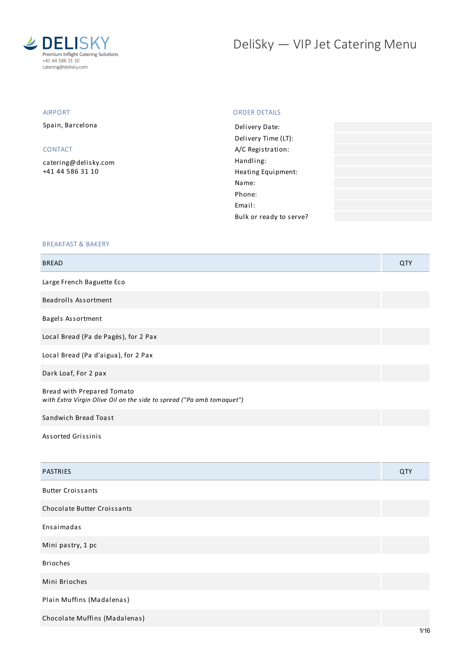

# DeliSky - VIP Jet Catering Menu

#### AIRPORT

Spain, Barcelona

### CONTACT

[catering@delisky.com](mailto:catering@delisky.com) +41 44 586 31 10

#### ORDER DETAILS

| Delivery Date:          |  |
|-------------------------|--|
| Delivery Time (LT):     |  |
| A/C Registration:       |  |
| Handling:               |  |
| Heating Equipment:      |  |
| Name:                   |  |
| Phone:                  |  |
| Fmail:                  |  |
| Bulk or ready to serve? |  |
|                         |  |

#### BREAKFAST & BAKERY

Chocolate Muffins (Madalenas)

| <b>BREAD</b>                                                                                        | <b>QTY</b> |
|-----------------------------------------------------------------------------------------------------|------------|
| Large French Baguette Eco                                                                           |            |
| Beadrolls Assortment                                                                                |            |
| Bagels Assortment                                                                                   |            |
| Local Bread (Pa de Pagès), for 2 Pax                                                                |            |
| Local Bread (Pa d'aigua), for 2 Pax                                                                 |            |
| Dark Loaf, For 2 pax                                                                                |            |
| Bread with Prepared Tomato<br>with Extra Virgin Olive Oil on the side to spread ("Pa amb tomaquet") |            |
| Sandwich Bread Toast                                                                                |            |
| Assorted Grissinis                                                                                  |            |
| <b>PASTRIES</b>                                                                                     | QTY        |
| <b>Butter Croissants</b>                                                                            |            |
| Chocolate Butter Croissants                                                                         |            |
| Ensaimadas                                                                                          |            |
| Mini pastry, 1 pc                                                                                   |            |
| <b>Brioches</b>                                                                                     |            |
| Mini Brioches                                                                                       |            |
| Plain Muffins (Madalenas)                                                                           |            |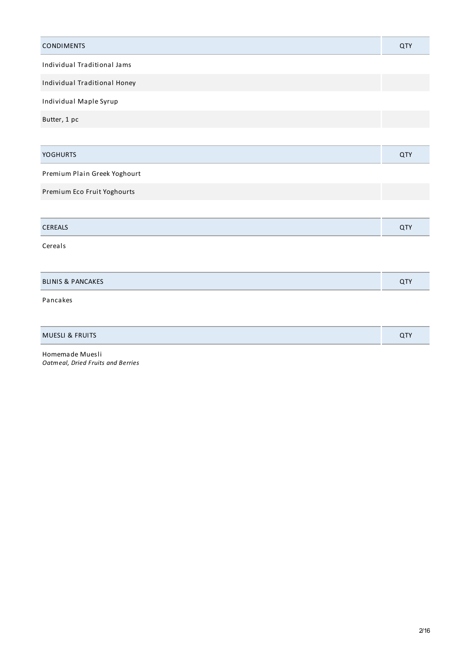| <b>CONDIMENTS</b>            | <b>QTY</b> |
|------------------------------|------------|
| Individual Traditional Jams  |            |
| Individual Traditional Honey |            |
| Individual Maple Syrup       |            |
| Butter, 1 pc                 |            |
|                              |            |
| <b>YOGHURTS</b>              | QTY        |
| Premium Plain Greek Yoghourt |            |
| Premium Eco Fruit Yoghourts  |            |
|                              |            |
| CEREALS                      | QTY        |
| Cereals                      |            |
|                              |            |
| <b>BLINIS &amp; PANCAKES</b> | QTY        |
| Pancakes                     |            |
|                              |            |
| <b>MUESLI &amp; FRUITS</b>   | QTY        |

Homemade Muesli *Oatmeal, Dried Fruits and Berries*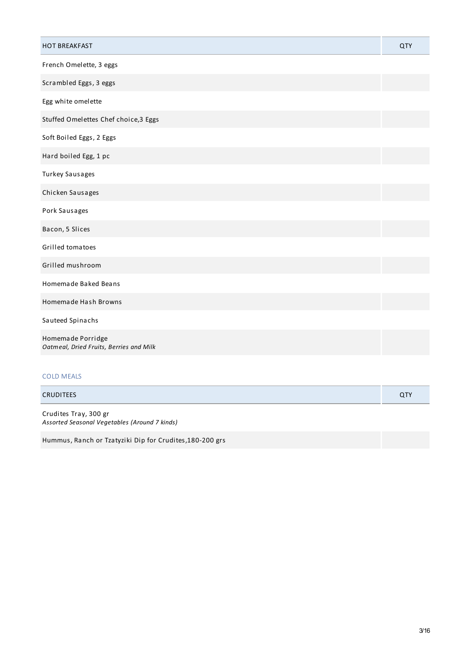| <b>HOT BREAKFAST</b>                                         | <b>QTY</b> |
|--------------------------------------------------------------|------------|
| French Omelette, 3 eggs                                      |            |
| Scrambled Eggs, 3 eggs                                       |            |
| Egg white omelette                                           |            |
| Stuffed Omelettes Chef choice, 3 Eggs                        |            |
| Soft Boiled Eggs, 2 Eggs                                     |            |
| Hard boiled Egg, 1 pc                                        |            |
| Turkey Sausages                                              |            |
| Chicken Sausages                                             |            |
| Pork Sausages                                                |            |
| Bacon, 5 Slices                                              |            |
| Grilled tomatoes                                             |            |
| Grilled mushroom                                             |            |
| Homemade Baked Beans                                         |            |
| Homemade Hash Browns                                         |            |
| Sauteed Spinachs                                             |            |
| Homemade Porridge<br>Oatmeal, Dried Fruits, Berries and Milk |            |
| <b>COLD MEALS</b>                                            |            |
| <b>CRUDITEES</b>                                             | <b>QTY</b> |

Crudites Tray, 300 gr *Assorted Seasonal Vegetables (Around 7 kinds)*

Hummus, Ranch or Tzatyziki Dip for Crudites,180-200 grs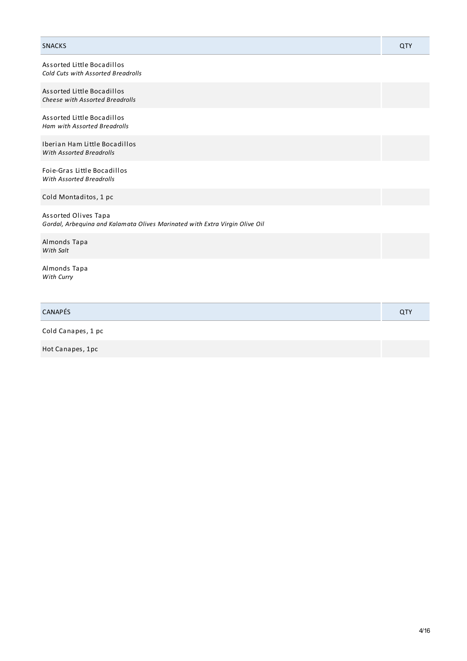| <b>SNACKS</b>                                                                                       | QTY |
|-----------------------------------------------------------------------------------------------------|-----|
| Assorted Little Bocadillos<br><b>Cold Cuts with Assorted Breadrolls</b>                             |     |
| Assorted Little Bocadillos<br>Cheese with Assorted Breadrolls                                       |     |
| Assorted Little Bocadillos<br><b>Ham with Assorted Breadrolls</b>                                   |     |
| Iberian Ham Little Bocadillos<br><b>With Assorted Breadrolls</b>                                    |     |
| Foie-Gras Little Bocadillos<br><b>With Assorted Breadrolls</b>                                      |     |
| Cold Montaditos, 1 pc                                                                               |     |
| Assorted Olives Tapa<br>Gordal, Arbequina and Kalamata Olives Marinated with Extra Virgin Olive Oil |     |
| Almonds Tapa<br>With Salt                                                                           |     |
| Almonds Tapa<br>With Curry                                                                          |     |

| <b>CANAPÉS</b> | <b>u</b> |
|----------------|----------|

Cold Canapes, 1 pc

Hot Canapes, 1pc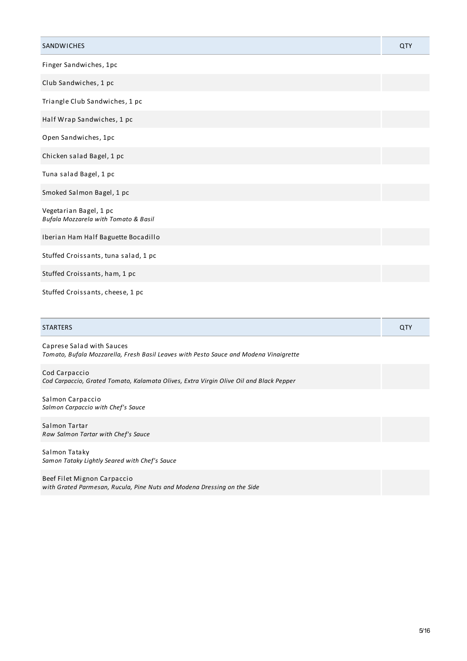| SANDWICHES                                                     | <b>QTY</b> |
|----------------------------------------------------------------|------------|
| Finger Sandwiches, 1pc                                         |            |
| Club Sandwiches, 1 pc                                          |            |
| Triangle Club Sandwiches, 1 pc                                 |            |
| Half Wrap Sandwiches, 1 pc                                     |            |
| Open Sandwiches, 1pc                                           |            |
| Chicken salad Bagel, 1 pc                                      |            |
| Tuna salad Bagel, 1 pc                                         |            |
| Smoked Salmon Bagel, 1 pc                                      |            |
| Vegetarian Bagel, 1 pc<br>Bufala Mozzarela with Tomato & Basil |            |
| Iberian Ham Half Baguette Bocadillo                            |            |
| Stuffed Croissants, tuna salad, 1 pc                           |            |
| Stuffed Croissants, ham, 1 pc                                  |            |
| Stuffed Croissants, cheese, 1 pc                               |            |

| <b>STARTERS</b> | u |
|-----------------|---|
|                 |   |

Caprese Salad with Sauces *Tomato, Bufala Mozzarella, Fresh Basil Leaves with Pesto Sauce and Modena Vinaigrette*

Cod Carpaccio *Cod Carpaccio, Grated Tomato, Kalamata Olives, Extra Virgin Olive Oil and Black Pepper*

Salmon Carpaccio *Salmon Carpaccio with Chef's Sauce*

Salmon Tartar *Raw Salmon Tartar with Chef's Sauce*

Salmon Tataky *Samon Tataky Lightly Seared with Chef's Sauce*

Beef Filet Mignon Carpaccio *with Grated Parmesan, Rucula, Pine Nuts and Modena Dressing on the Side*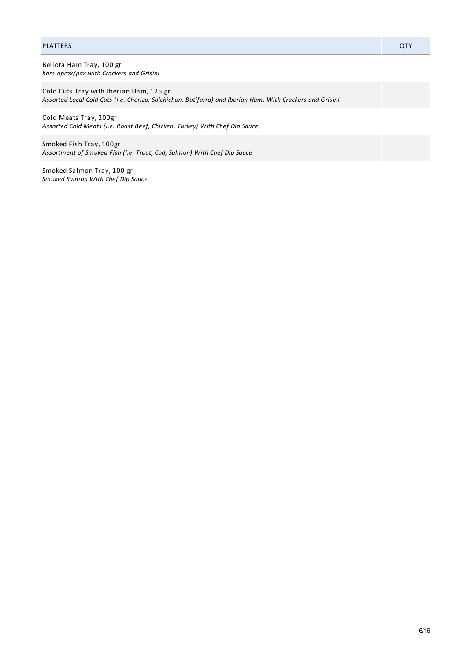#### PLATTERS QTY

Bellota Ham Tray, 100 gr *ham aprox/pax with Crackers and Grisini*

Cold Cuts Tray with Iberian Ham, 125 gr *Assorted Local Cold Cuts (i.e. Chorizo, Salchichon, Butifarra) and Iberian Ham. With Crackers and Grisini*

Cold Meats Tray, 200gr *Assorted Cold Meats (i.e. Roast Beef, Chicken, Turkey) With Chef Dip Sauce*

Smoked Fish Tray, 100gr *Assortment of Smoked Fish (i.e. Trout, Cod, Salmon) With Chef Dip Sauce*

Smoked Salmon Tray, 100 gr *Smoked Salmon With Chef Dip Sauce*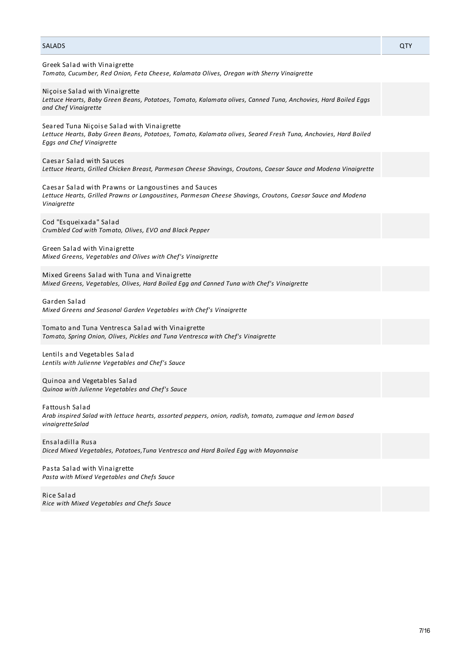#### SALADS QTY

| Greek Salad with Vinaigrette<br>Tomato, Cucumber, Red Onion, Feta Cheese, Kalamata Olives, Oregan with Sherry Vinaigrette                                                                        |
|--------------------------------------------------------------------------------------------------------------------------------------------------------------------------------------------------|
| Niçoise Salad with Vinaigrette<br>Lettuce Hearts, Baby Green Beans, Potatoes, Tomato, Kalamata olives, Canned Tuna, Anchovies, Hard Boiled Eggs<br>and Chef Vinaigrette                          |
| Seared Tuna Niçoise Salad with Vinaigrette<br>Lettuce Hearts, Baby Green Beans, Potatoes, Tomato, Kalamata olives, Seared Fresh Tuna, Anchovies, Hard Boiled<br><b>Eggs and Chef Vinaigrette</b> |
| Caesar Salad with Sauces<br>Lettuce Hearts, Grilled Chicken Breast, Parmesan Cheese Shavings, Croutons, Caesar Sauce and Modena Vinaigrette                                                      |
| Caesar Salad with Prawns or Langoustines and Sauces<br>Lettuce Hearts, Grilled Prawns or Langoustines, Parmesan Cheese Shavings, Croutons, Caesar Sauce and Modena<br>Vinaigrette                |
| Cod "Esqueixada" Salad<br>Crumbled Cod with Tomato, Olives, EVO and Black Pepper                                                                                                                 |
| Green Salad with Vinaigrette<br>Mixed Greens, Vegetables and Olives with Chef's Vinaigrette                                                                                                      |
| Mixed Greens Salad with Tuna and Vinaigrette<br>Mixed Greens, Vegetables, Olives, Hard Boiled Egg and Canned Tuna with Chef's Vinaigrette                                                        |
| Garden Salad<br>Mixed Greens and Seasonal Garden Vegetables with Chef's Vinaigrette                                                                                                              |
| Tomato and Tuna Ventresca Salad with Vinaigrette<br>Tomato, Spring Onion, Olives, Pickles and Tuna Ventresca with Chef's Vinaigrette                                                             |
| Lentils and Vegetables Salad<br>Lentils with Julienne Vegetables and Chef's Sauce                                                                                                                |
| Quinoa and Vegetables Salad<br>Quinoa with Julienne Vegetables and Chef's Sauce                                                                                                                  |
| <b>Fattoush Salad</b><br>Arab inspired Salad with lettuce hearts, assorted peppers, onion, radish, tomato, zumaque and lemon based<br>vinaigretteSalad                                           |
| .                                                                                                                                                                                                |

Ensaladilla Rusa

Pasta Salad with Vinaigrette *Pasta with Mixed Vegetables and Chefs Sauce*

Rice Salad *Rice with Mixed Vegetables and Chefs Sauce*

*Diced Mixed Vegetables, Potatoes,Tuna Ventresca and Hard Boiled Egg with Mayonnaise*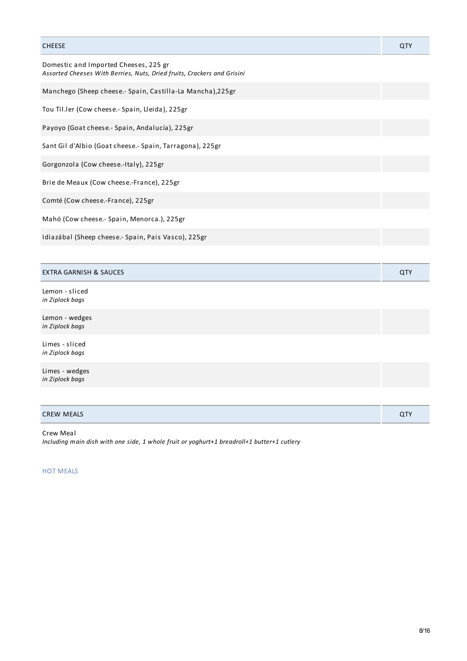| <b>CHEESE</b>                                                                                                    | QTY        |
|------------------------------------------------------------------------------------------------------------------|------------|
| Domestic and Imported Cheeses, 225 gr<br>Assorted Cheeses With Berries, Nuts, Dried fruits, Crackers and Grisini |            |
| Manchego (Sheep cheese.- Spain, Castilla-La Mancha),225gr                                                        |            |
| Tou Til.ler (Cow cheese.- Spain, Lleida), 225gr                                                                  |            |
| Payoyo (Goat cheese.- Spain, Andalucía), 225gr                                                                   |            |
| Sant Gil d'Albio (Goat cheese.- Spain, Tarragona), 225gr                                                         |            |
| Gorgonzola (Cow cheese.-Italy), 225gr                                                                            |            |
| Brie de Meaux (Cow cheese.-France), 225gr                                                                        |            |
| Comté (Cow cheese.-France), 225gr                                                                                |            |
| Mahó (Cow cheese.- Spain, Menorca.), 225gr                                                                       |            |
| Idiazábal (Sheep cheese.- Spain, Pais Vasco), 225gr                                                              |            |
|                                                                                                                  |            |
| <b>EXTRA GARNISH &amp; SAUCES</b>                                                                                | <b>QTY</b> |
| Lemon - sliced<br>in Ziplock bags                                                                                |            |
| Lemon - wedges<br>in Ziplock bags                                                                                |            |
| Limes - sliced<br>in Ziplock bags                                                                                |            |
| Limes - wedges<br>in Ziplock bags                                                                                |            |
|                                                                                                                  |            |

| <b>CREW MEALS</b> | $\cap$ TV<br>~ י |
|-------------------|------------------|
|                   |                  |

## Crew Meal

*Including main dish with one side, 1 whole fruit or yoghurt+1 breadroll+1 butter+1 cutlery*

# HOT MEALS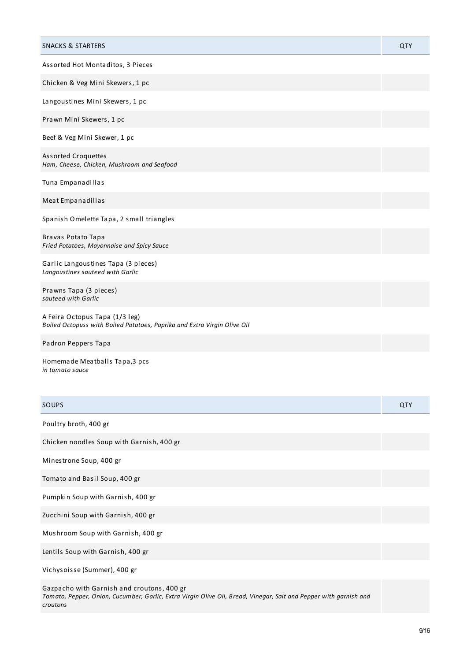| <b>SNACKS &amp; STARTERS</b>                                                                               | QTY |
|------------------------------------------------------------------------------------------------------------|-----|
| Assorted Hot Montaditos, 3 Pieces                                                                          |     |
| Chicken & Veg Mini Skewers, 1 pc                                                                           |     |
| Langoustines Mini Skewers, 1 pc                                                                            |     |
| Prawn Mini Skewers, 1 pc                                                                                   |     |
| Beef & Veg Mini Skewer, 1 pc                                                                               |     |
| <b>Assorted Croquettes</b><br>Ham, Cheese, Chicken, Mushroom and Seafood                                   |     |
| Tuna Empanadillas                                                                                          |     |
| Meat Empanadillas                                                                                          |     |
| Spanish Omelette Tapa, 2 small triangles                                                                   |     |
| Bravas Potato Tapa<br>Fried Potatoes, Mayonnaise and Spicy Sauce                                           |     |
| Garlic Langoustines Tapa (3 pieces)<br>Langoustines sauteed with Garlic                                    |     |
| Prawns Tapa (3 pieces)<br>sauteed with Garlic                                                              |     |
| A Feira Octopus Tapa (1/3 leg)<br>Boiled Octopuss with Boiled Potatoes, Paprika and Extra Virgin Olive Oil |     |
| Padron Peppers Tapa                                                                                        |     |
| Homemade Meatballs Tapa, 3 pcs<br>in tomato sauce                                                          |     |
| <b>SOUPS</b>                                                                                               | QTY |
| Poultry broth, 400 gr                                                                                      |     |

Chicken noodles Soup with Garnish, 400 gr

Minestrone Soup, 400 gr

Tomato and Basil Soup, 400 gr

Pumpkin Soup with Garnish, 400 gr

Zucchini Soup with Garnish, 400 gr

Mushroom Soup with Garnish, 400 gr

Lentils Soup with Garnish, 400 gr

Vichysoisse (Summer), 400 gr

Gazpacho with Garnish and croutons, 400 gr

Tomato, Pepper, Onion, Cucumber, Garlic, Extra Virgin Olive Oil, Bread, Vinegar, Salt and Pepper with garnish and *croutons*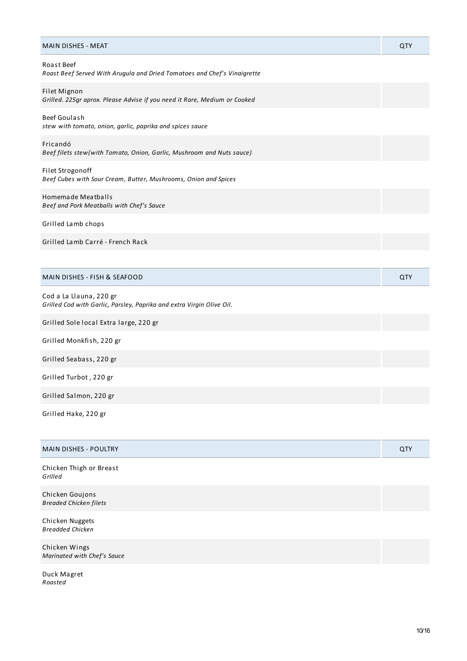| <b>MAIN DISHES - MEAT</b>                                                                        | QTY |
|--------------------------------------------------------------------------------------------------|-----|
| <b>Roast Beef</b><br>Roast Beef Served With Arugula and Dried Tomatoes and Chef's Vinaigrette    |     |
| Filet Mignon<br>Grilled. 225gr aprox. Please Advise if you need it Rare, Medium or Cooked        |     |
| Beef Goulash<br>stew with tomato, onion, garlic, paprika and spices sauce                        |     |
| Fricandó<br>Beef filets stew (with Tomato, Onion, Garlic, Mushroom and Nuts sauce)               |     |
| Filet Strogonoff<br>Beef Cubes with Sour Cream, Butter, Mushrooms, Onion and Spices              |     |
| Homemade Meatballs<br>Beef and Pork Meatballs with Chef's Sauce                                  |     |
| Grilled Lamb chops                                                                               |     |
| Grilled Lamb Carré - French Rack                                                                 |     |
|                                                                                                  |     |
| MAIN DISHES - FISH & SEAFOOD                                                                     | QTY |
| Cod a La Llauna, 220 gr<br>Grilled Cod with Garlic, Parsley, Paprika and extra Virgin Olive Oil. |     |
| Grilled Sole local Extra large, 220 gr                                                           |     |
| Grilled Monkfish, 220 gr                                                                         |     |
| Grilled Seabass, 220 gr                                                                          |     |
| Grilled Turbot, 220 gr                                                                           |     |
| Grilled Salmon, 220 gr                                                                           |     |
| Grilled Hake, 220 gr                                                                             |     |
| <b>MAIN DISHES - POULTRY</b>                                                                     | QTY |
| Chicken Thigh or Breast<br>Grilled                                                               |     |
| Chicken Goujons<br><b>Breaded Chicken filets</b>                                                 |     |
| Chicken Nuggets<br><b>Breadded Chicken</b>                                                       |     |
| Chicken Wings<br>Marinated with Chef's Sauce                                                     |     |

Duck Magret *Roasted*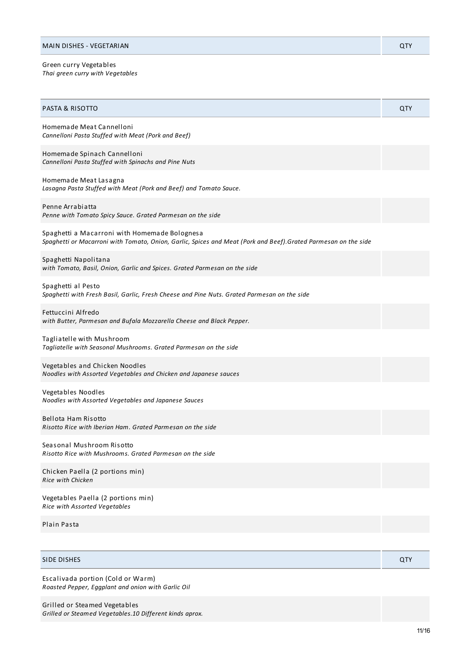Green curry Vegetables *Thai green curry with Vegetables*

| <b>PASTA &amp; RISOTTO</b>                                                                                                                                      | QTY        |
|-----------------------------------------------------------------------------------------------------------------------------------------------------------------|------------|
| Homemade Meat Cannelloni<br>Cannelloni Pasta Stuffed with Meat (Pork and Beef)                                                                                  |            |
| Homemade Spinach Cannelloni<br>Cannelloni Pasta Stuffed with Spinachs and Pine Nuts                                                                             |            |
| Homemade Meat Lasagna<br>Lasagna Pasta Stuffed with Meat (Pork and Beef) and Tomato Sauce.                                                                      |            |
| Penne Arrabiatta<br>Penne with Tomato Spicy Sauce. Grated Parmesan on the side                                                                                  |            |
| Spaghetti a Macarroni with Homemade Bolognesa<br>Spaghetti or Macarroni with Tomato, Onion, Garlic, Spices and Meat (Pork and Beef).Grated Parmesan on the side |            |
| Spaghetti Napolitana<br>with Tomato, Basil, Onion, Garlic and Spices. Grated Parmesan on the side                                                               |            |
| Spaghetti al Pesto<br>Spaghetti with Fresh Basil, Garlic, Fresh Cheese and Pine Nuts. Grated Parmesan on the side                                               |            |
| Fettuccini Alfredo<br>with Butter, Parmesan and Bufala Mozzarella Cheese and Black Pepper.                                                                      |            |
| Tagliatelle with Mushroom<br>Tagliatelle with Seasonal Mushrooms. Grated Parmesan on the side                                                                   |            |
| Vegetables and Chicken Noodles<br>Noodles with Assorted Vegetables and Chicken and Japanese sauces                                                              |            |
| Vegetables Noodles<br>Noodles with Assorted Vegetables and Japanese Sauces                                                                                      |            |
| Bellota Ham Risotto<br>Risotto Rice with Iberian Ham. Grated Parmesan on the side                                                                               |            |
| Seasonal Mushroom Risotto<br>Risotto Rice with Mushrooms. Grated Parmesan on the side                                                                           |            |
| Chicken Paella (2 portions min)<br><b>Rice with Chicken</b>                                                                                                     |            |
| Vegetables Paella (2 portions min)<br>Rice with Assorted Vegetables                                                                                             |            |
| Plain Pasta                                                                                                                                                     |            |
|                                                                                                                                                                 |            |
| SIDE DISHES                                                                                                                                                     | <b>QTY</b> |
| Escalivada portion (Cold or Warm)<br>Roasted Pepper, Eggplant and onion with Garlic Oil                                                                         |            |

Grilled or Steamed Vegetables

*Grilled or Steamed Vegetables.10 Different kinds aprox.*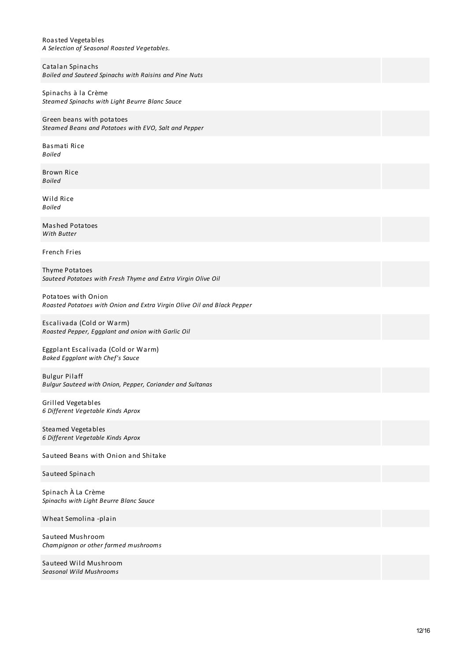Roasted Vegetables *A Selection of Seasonal Roasted Vegetables.*

Catalan Spinachs *Boiled and Sauteed Spinachs with Raisins and Pine Nuts* Spinachs à la Crème *Steamed Spinachs with Light Beurre Blanc Sauce* Green beans with potatoes *Steamed Beans and Potatoes with EVO, Salt and Pepper* Basmati Rice *Boiled* Brown Rice *Boiled*

Wild Rice *Boiled*

Mashed Potatoes *With Butter*

French Fries

Thyme Potatoes *Sauteed Potatoes with Fresh Thyme and Extra Virgin Olive Oil*

Potatoes with Onion *Roasted Potatoes with Onion and Extra Virgin Olive Oil and Black Pepper*

Escalivada (Cold or Warm) *Roasted Pepper, Eggplant and onion with Garlic Oil*

Eggplant Escalivada (Cold or Warm) *Baked Eggplant with Chef's Sauce*

Bulgur Pilaff *Bulgur Sauteed with Onion, Pepper, Coriander and Sultanas*

Grilled Vegetables *6 Different Vegetable Kinds Aprox*

Steamed Vegetables *6 Different Vegetable Kinds Aprox*

Sauteed Beans with Onion and Shitake

Sauteed Spinach

Spinach À La Crème *Spinachs with Light Beurre Blanc Sauce*

Wheat Semolina -plain

Sauteed Mushroom *Champignon or other farmed mushrooms*

Sauteed Wild Mushroom *Seasonal Wild Mushrooms*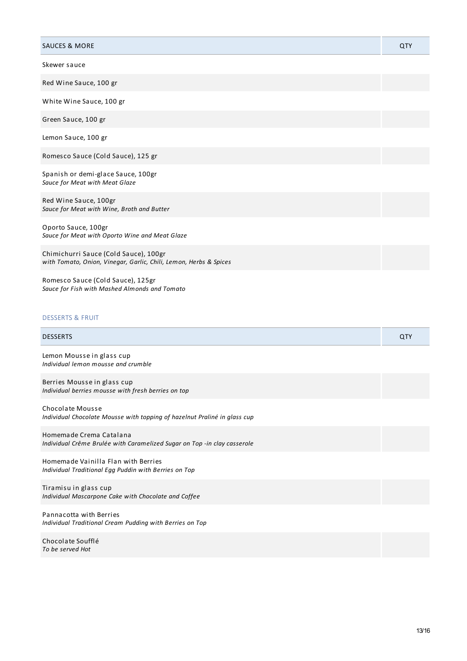| <b>SAUCES &amp; MORE</b>                                                                                   | QTY |
|------------------------------------------------------------------------------------------------------------|-----|
| Skewer sauce                                                                                               |     |
| Red Wine Sauce, 100 gr                                                                                     |     |
| White Wine Sauce, 100 gr                                                                                   |     |
| Green Sauce, 100 gr                                                                                        |     |
| Lemon Sauce, 100 gr                                                                                        |     |
| Romesco Sauce (Cold Sauce), 125 gr                                                                         |     |
| Spanish or demi-glace Sauce, 100gr<br>Sauce for Meat with Meat Glaze                                       |     |
| Red Wine Sauce, 100gr<br>Sauce for Meat with Wine, Broth and Butter                                        |     |
| Oporto Sauce, 100gr<br>Sauce for Meat with Oporto Wine and Meat Glaze                                      |     |
| Chimichurri Sauce (Cold Sauce), 100gr<br>with Tomato, Onion, Vinegar, Garlic, Chili, Lemon, Herbs & Spices |     |
| Romesco Sauce (Cold Sauce), 125gr<br>Sauce for Fish with Mashed Almonds and Tomato                         |     |
| <b>DESSERTS &amp; FRUIT</b>                                                                                |     |
| <b>DESSERTS</b>                                                                                            | QTY |
| Lemon Mousse in glass cup<br>Individual lemon mousse and crumble                                           |     |
| Berries Mousse in glass cup<br>Individual berries mousse with fresh berries on top                         |     |
| <b>Chocolate Mousse</b><br>Individual Chocolate Mousse with topping of hazelnut Praliné in glass cup       |     |
| Homemade Crema Catalana<br>Individual Crême Brulée with Caramelized Sugar on Top -in clay casserole        |     |

Homemade Vainilla Flan with Berries *Individual Traditional Egg Puddin with Berries on Top*

Tiramisu in glass cup *Individual Mascarpone Cake with Chocolate and Coffee*

Pannacotta with Berries *Individual Traditional Cream Pudding with Berries on Top*

Chocolate Soufflé *To be served Hot*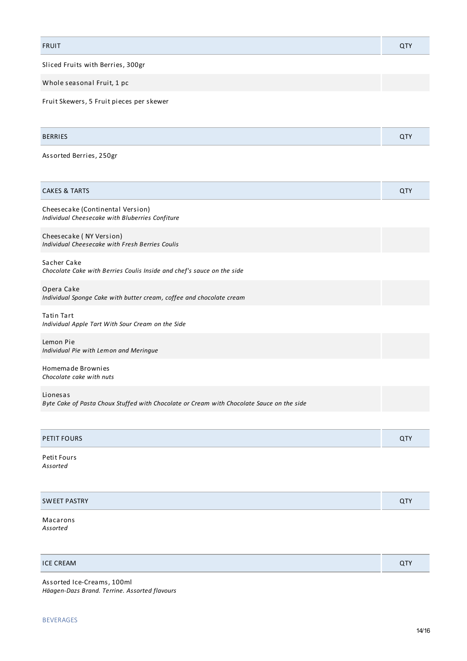FRUIT QTY

Sliced Fruits with Berries, 300gr

Whole seasonal Fruit, 1 pc

Fruit Skewers, 5 Fruit pieces per skewer

| <b>RERRIFS</b> |  |
|----------------|--|
|                |  |

Assorted Berries, 250gr

| <b>CAKES &amp; TARTS</b>                                                                              | <b>QTY</b> |
|-------------------------------------------------------------------------------------------------------|------------|
| Cheesecake (Continental Version)<br>Individual Cheesecake with Bluberries Confiture                   |            |
| Cheesecake (NY Version)<br>Individual Cheesecake with Fresh Berries Coulis                            |            |
| Sacher Cake<br>Chocolate Cake with Berries Coulis Inside and chef's sauce on the side                 |            |
| Opera Cake<br>Individual Sponge Cake with butter cream, coffee and chocolate cream                    |            |
| <b>Tatin Tart</b><br>Individual Apple Tart With Sour Cream on the Side                                |            |
| Lemon Pie<br>Individual Pie with Lemon and Meringue                                                   |            |
| Homemade Brownies<br>Chocolate cake with nuts                                                         |            |
| Lionesas<br>Byte Cake of Pasta Choux Stuffed with Chocolate or Cream with Chocolate Sauce on the side |            |
|                                                                                                       |            |

| PETIT FOURS | ~ |
|-------------|---|
|             |   |

Petit Fours *Assorted*

| <b>SWEET PASTRY</b> | $\tilde{}$ |
|---------------------|------------|
|                     |            |

Macarons *Assorted*

| <b>ICE CREAM</b> |  |
|------------------|--|
|                  |  |

Assorted Ice-Creams, 100ml *Häagen-Dazs Brand. Terrine. Assorted flavours* ī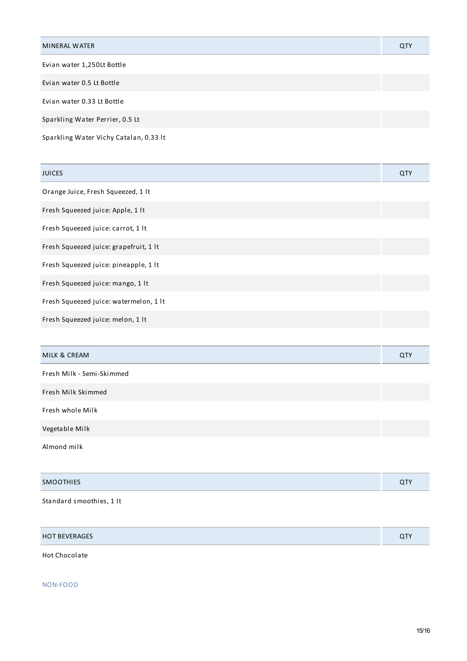| Evian water 1,250Lt Bottle      |  |
|---------------------------------|--|
|                                 |  |
| Evian water 0.5 Lt Bottle       |  |
| Evian water 0.33 Lt Bottle      |  |
| Sparkling Water Perrier, 0.5 Lt |  |

Sparkling Water Vichy Catalan, 0.33 lt

| <b>JUICES</b>                          | QTY |
|----------------------------------------|-----|
| Orange Juice, Fresh Squeezed, 1 lt     |     |
| Fresh Squeezed juice: Apple, 1 lt      |     |
| Fresh Squeezed juice: carrot, 1 lt     |     |
| Fresh Squeezed juice: grapefruit, 1 lt |     |
| Fresh Squeezed juice: pineapple, 1 lt  |     |
| Fresh Squeezed juice: mango, 1 lt      |     |
| Fresh Squeezed juice: watermelon, 1 lt |     |
| Fresh Squeezed juice: melon, 1 lt      |     |
|                                        |     |
| MILK & CREAM                           | QTY |
| Fresh Milk - Semi-Skimmed              |     |
| Fresh Milk Skimmed                     |     |
| Fresh whole Milk                       |     |
| Vegetable Milk                         |     |
| Almond milk                            |     |
|                                        |     |
| <b>SMOOTHIES</b>                       | QTY |
|                                        |     |

Standard smoothies, 1 lt

| <b>HOT BEVERAGES</b> | $\bigcap$ |
|----------------------|-----------|
|----------------------|-----------|

Hot Chocolate

NON-FOOD